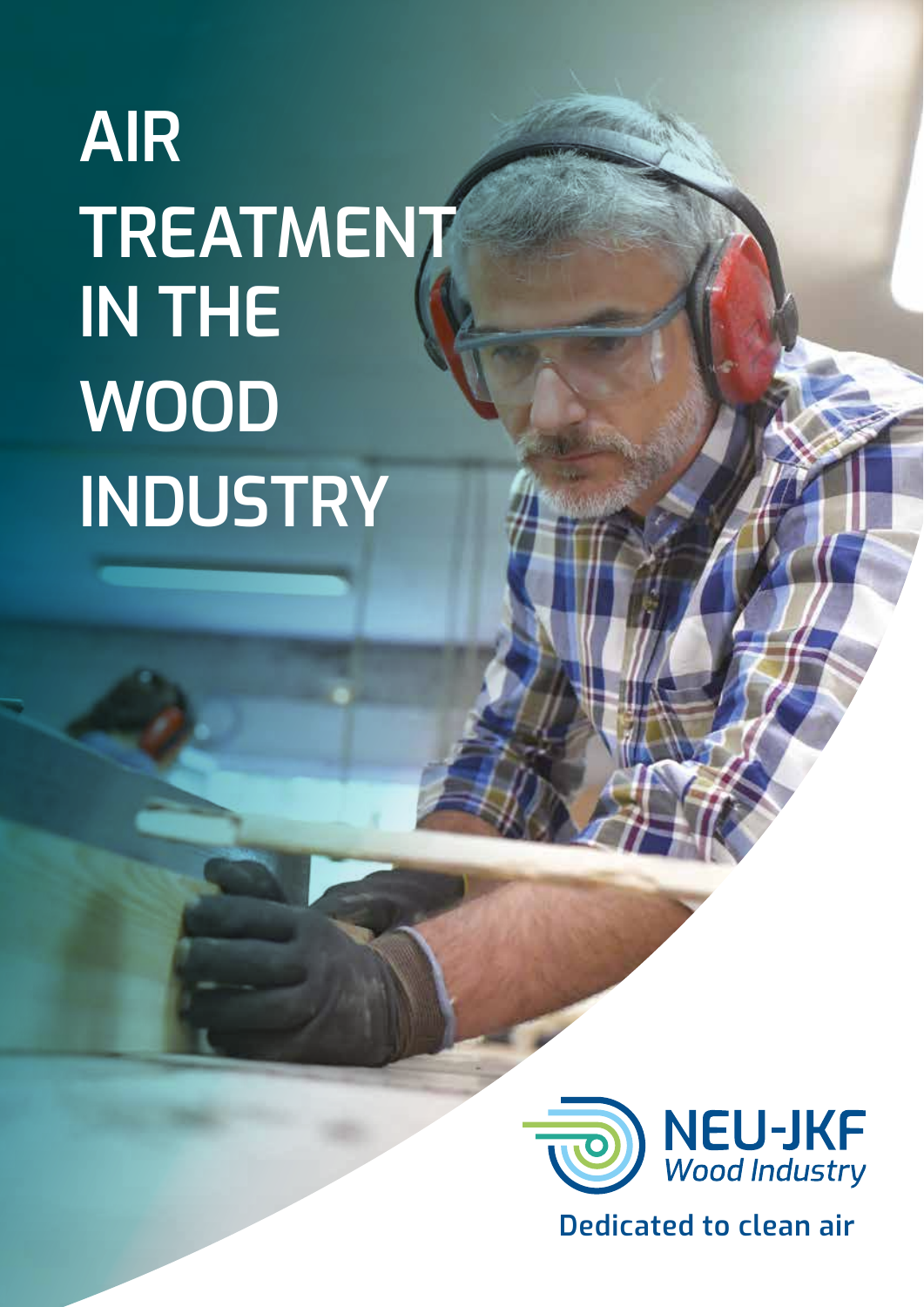# **AIR TREATMENT IN THE WOOD INDUSTRY**



**Dedicated to clean air**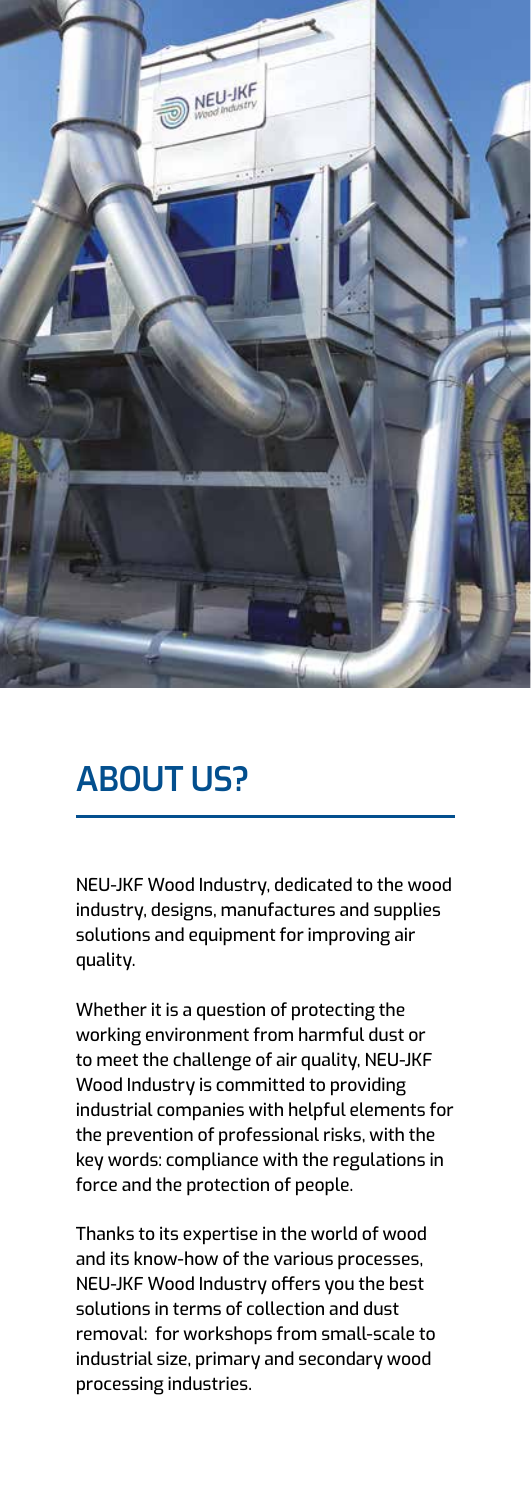

#### **ABOUT US?**

NEU-JKF Wood Industry, dedicated to the wood industry, designs, manufactures and supplies solutions and equipment for improving air quality.

Whether it is a question of protecting the working environment from harmful dust or to meet the challenge of air quality, NEU-JKF Wood Industry is committed to providing industrial companies with helpful elements for the prevention of professional risks, with the key words: compliance with the regulations in force and the protection of people.

Thanks to its expertise in the world of wood and its know-how of the various processes, NEU-JKF Wood Industry offers you the best solutions in terms of collection and dust removal: for workshops from small-scale to industrial size, primary and secondary wood processing industries.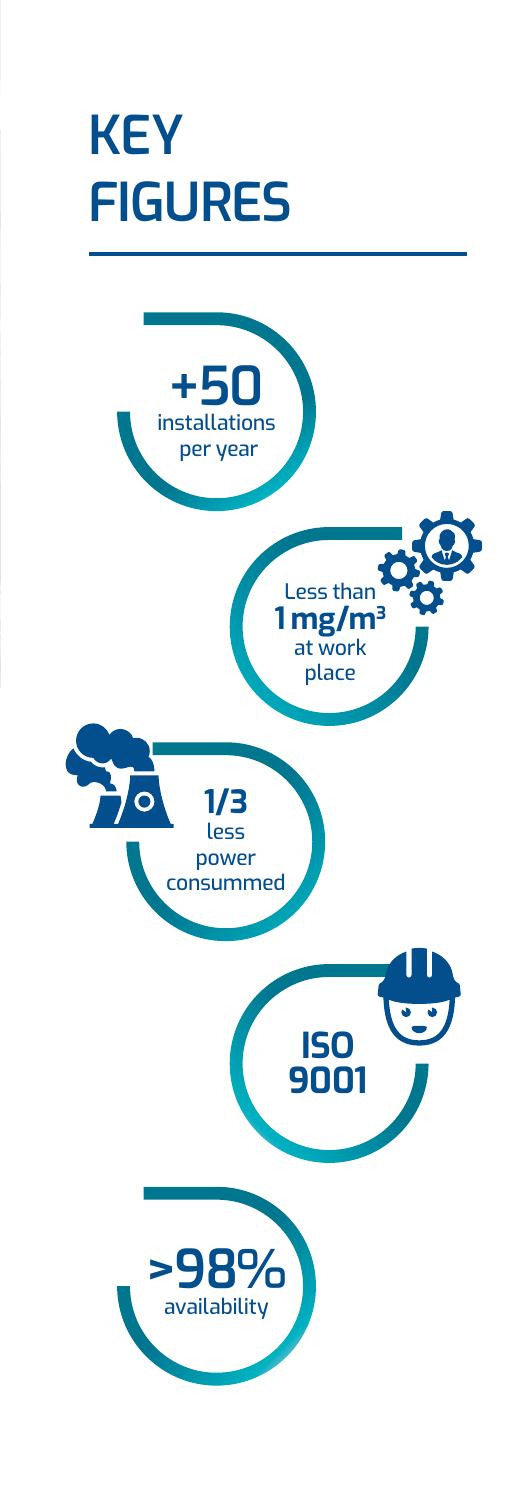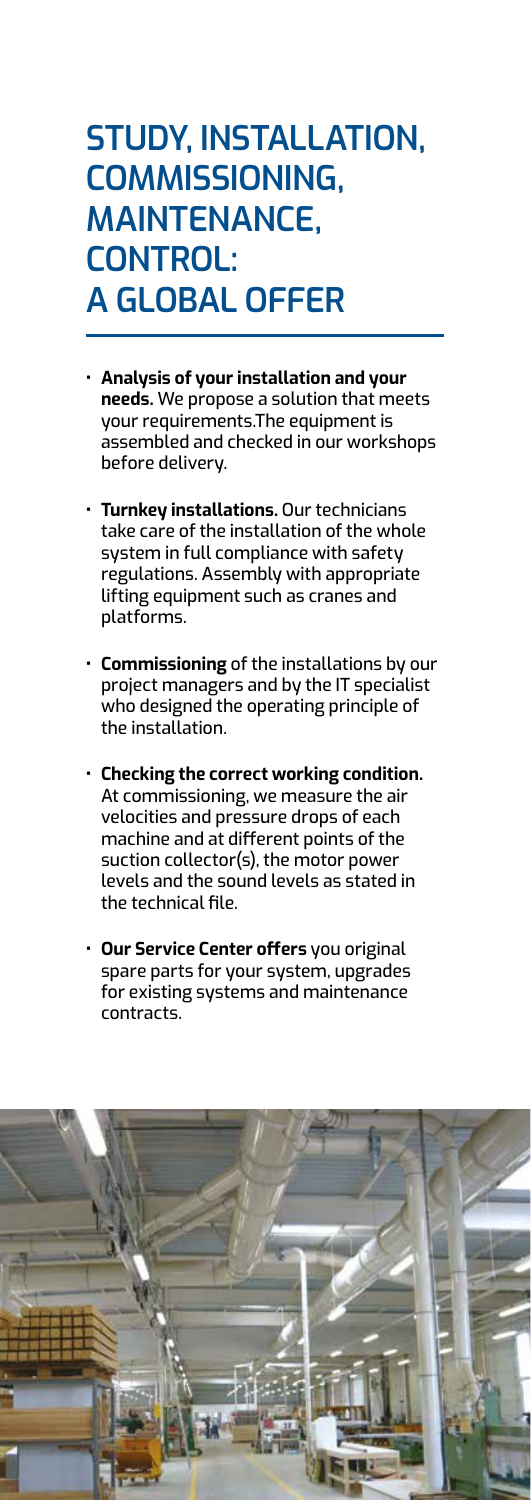## **STUDY, INSTALLATION, COMMISSIONING, MAINTENANCE, CONTROL: A GLOBAL OFFER**

- **• Analysis of your installation and your needs.** We propose a solution that meets your requirements.The equipment is assembled and checked in our workshops before delivery.
- **• Turnkey installations.** Our technicians take care of the installation of the whole system in full compliance with safety regulations. Assembly with appropriate lifting equipment such as cranes and platforms.
- **• Commissioning** of the installations by our project managers and by the IT specialist who designed the operating principle of the installation.
- **• Checking the correct working condition.** At commissioning, we measure the air velocities and pressure drops of each machine and at different points of the suction collector(s), the motor power levels and the sound levels as stated in the technical file.
- **• Our Service Center offers** you original spare parts for your system, upgrades for existing systems and maintenance contracts.

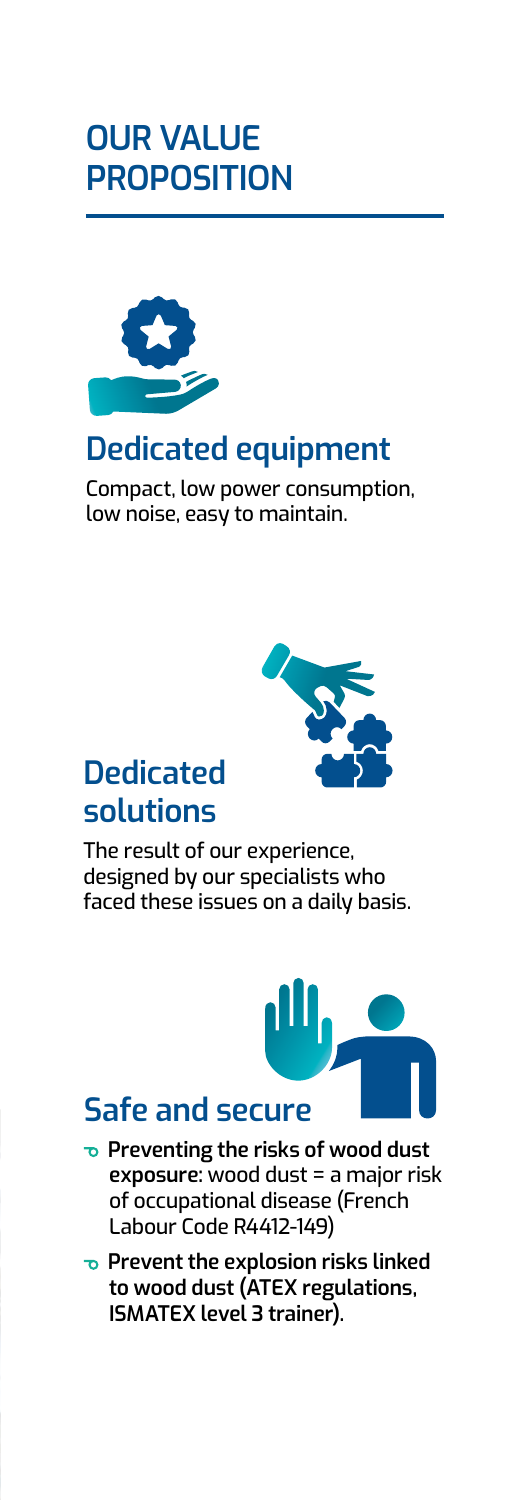# **OUR VALUE PROPOSITION**



#### **Dedicated equipment**

Compact, low power consumption, low noise, easy to maintain.



### **Dedicated solutions**

The result of our experience, designed by our specialists who faced these issues on a daily basis.



#### **Safe and secure**

- **Preventing the risks of wood dust exposure:** wood dust = a major risk of occupational disease (French Labour Code R4412-149)
- **Prevent the explosion risks linked to wood dust (ATEX regulations, ISMATEX level 3 trainer).**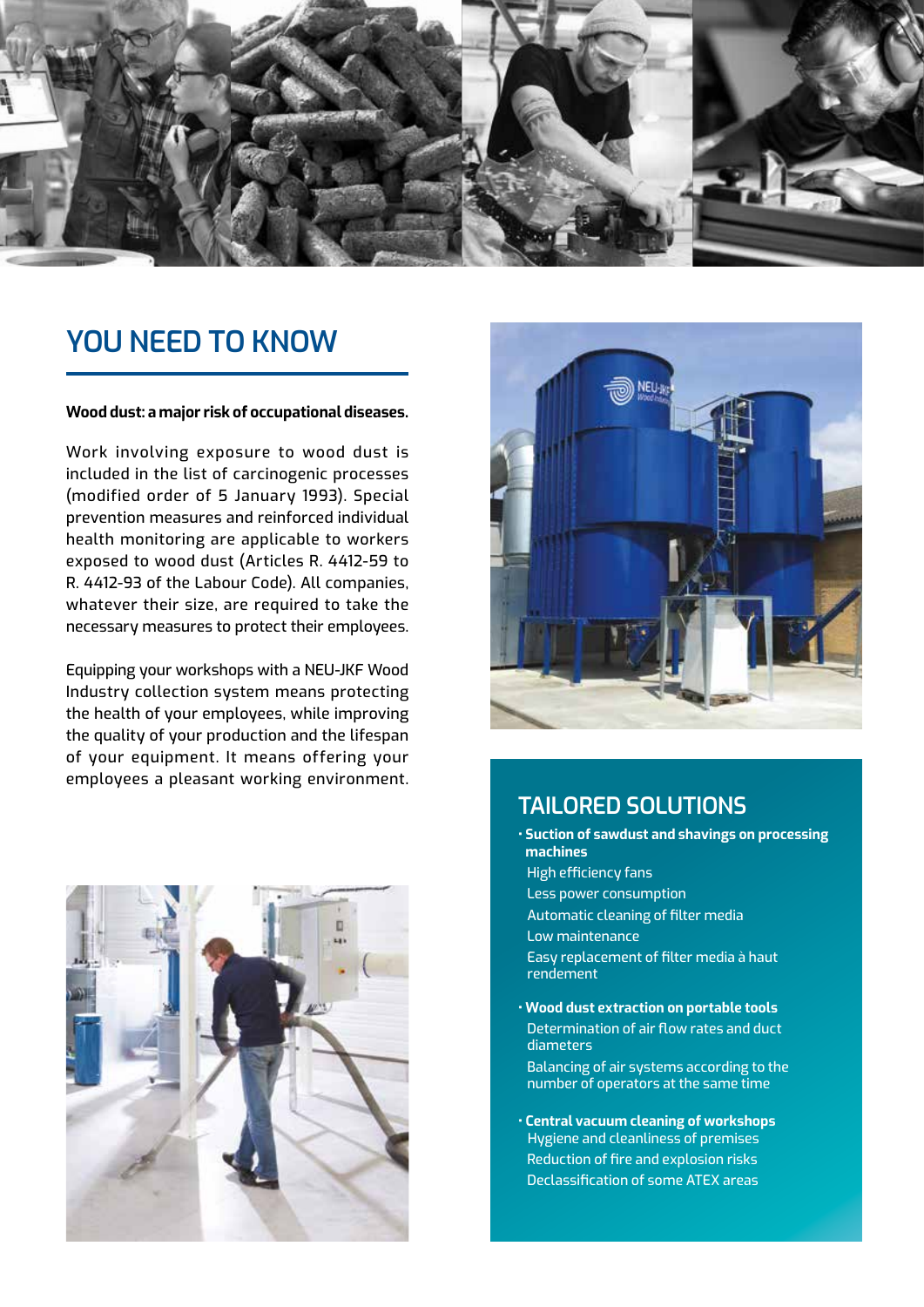

#### **YOU NEED TO KNOW**

#### **Wood dust: a major risk of occupational diseases.**

Work involving exposure to wood dust is included in the list of carcinogenic processes (modified order of 5 January 1993). Special prevention measures and reinforced individual health monitoring are applicable to workers exposed to wood dust (Articles R. 4412-59 to R. 4412-93 of the Labour Code). All companies, whatever their size, are required to take the necessary measures to protect their employees.

Equipping your workshops with a NEU-JKF Wood Industry collection system means protecting the health of your employees, while improving the quality of your production and the lifespan of your equipment. It means offering your employees a pleasant working environment.





#### **TAILORED SOLUTIONS**

- **Suction of sawdust and shavings on processing machines**
- High efficiency fans
- Less power consumption
- Automatic cleaning of filter media
- Low maintenance
- Easy replacement of filter media à haut rendement
- **Wood dust extraction on portable tools**  Determination of air flow rates and duct diameters
- Balancing of air systems according to the number of operators at the same time
- **Central vacuum cleaning of workshops** Hygiene and cleanliness of premises Reduction of fire and explosion risks Declassification of some ATEX areas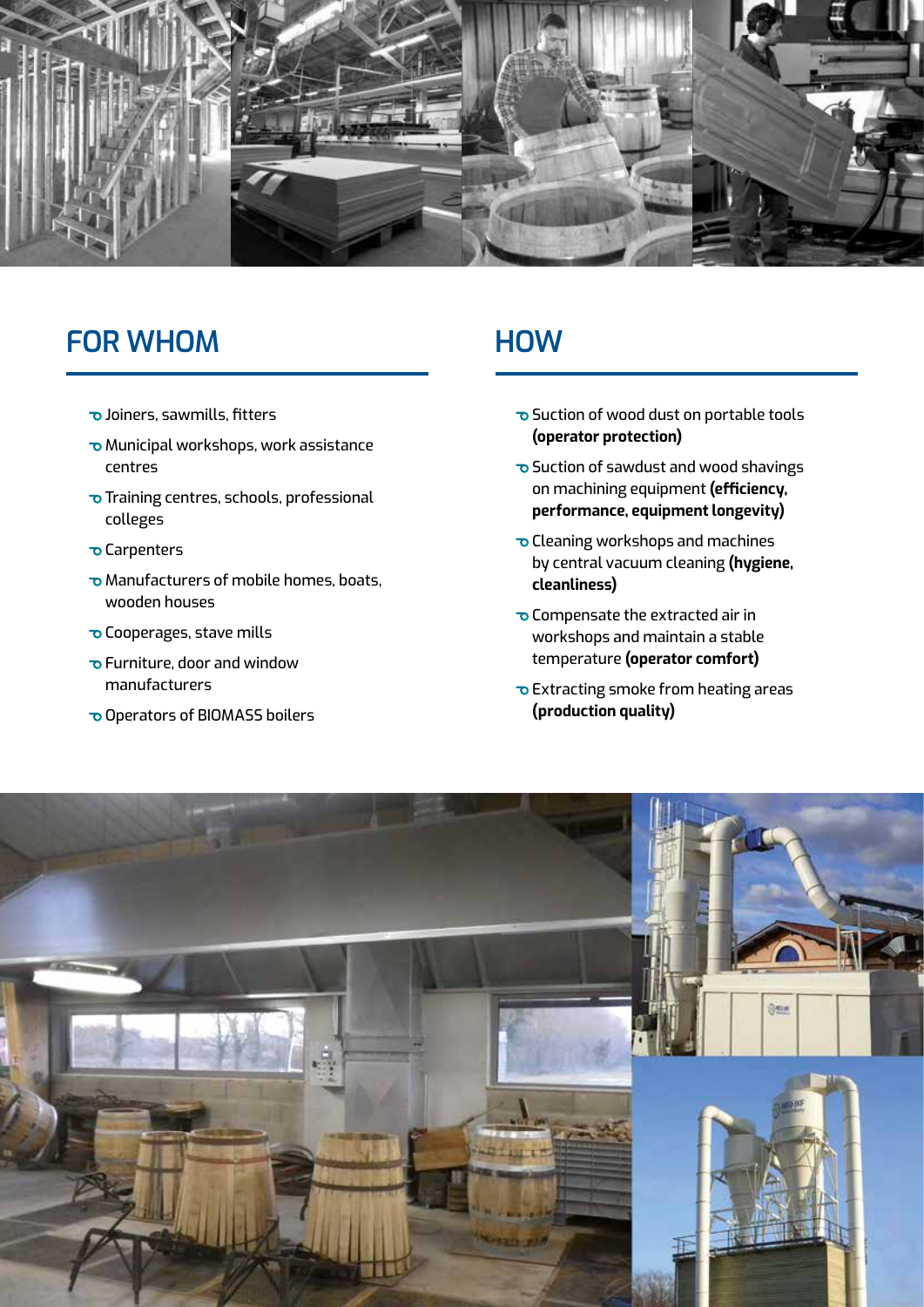

#### **FOR WHOM HOW**

- Joiners, sawmills, fitters
- Municipal workshops, work assistance centres
- $\sigma$  Training centres, schools, professional colleges
- **O** Carpenters
- Manufacturers of mobile homes, boats, wooden houses
- **O** Cooperages, stave mills
- Furniture, door and window manufacturers
- Operators of BIOMASS boilers

- Suction of wood dust on portable tools **(operator protection)**
- Suction of sawdust and wood shavings on machining equipment **(efficiency, performance, equipment longevity)**
- Cleaning workshops and machines by central vacuum cleaning **(hygiene, cleanliness)**
- Compensate the extracted air in workshops and maintain a stable temperature **(operator comfort)**
- Extracting smoke from heating areas **(production quality)**